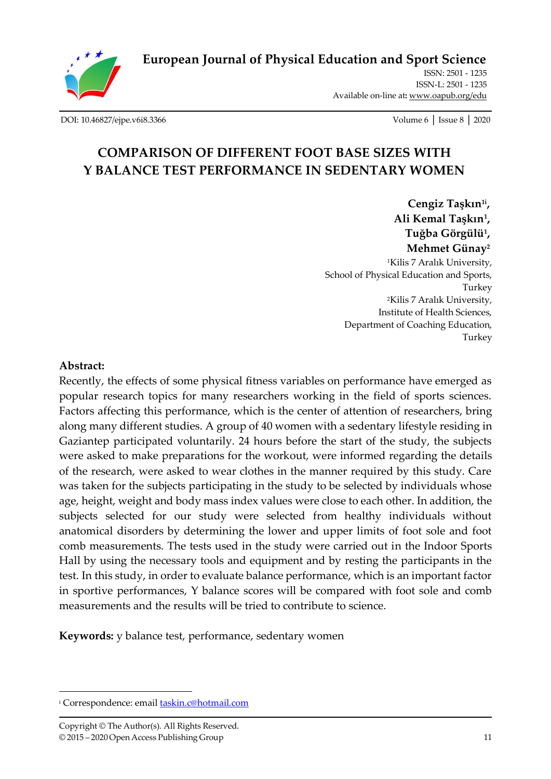

**[European Journal of Physical Education and Sport Science](http://oapub.org/edu/index.php/ejep)**

ISSN: 2501 - 1235 ISSN-L: 2501 - 1235 Available on-line at**:** [www.oapub.org/edu](http://www.oapub.org/edu)

[DOI: 10.46827/ejpe.v6i8.3366](http://dx.doi.org/10.46827/ejpe.v6i8.3366) Volume 6 │ Issue 8 │ 2020

# **COMPARISON OF DIFFERENT FOOT BASE SIZES WITH Y BALANCE TEST PERFORMANCE IN SEDENTARY WOMEN**

**Cengiz Taşkın1i , Ali Kemal Taşkın<sup>1</sup> , Tuğba Görgülü<sup>1</sup> , Mehmet Günay<sup>2</sup>** <sup>1</sup>Kilis 7 Aralık University, School of Physical Education and Sports, Turkey <sup>2</sup>Kilis 7 Aralık University, Institute of Health Sciences, Department of Coaching Education, Turkey

### **Abstract:**

Recently, the effects of some physical fitness variables on performance have emerged as popular research topics for many researchers working in the field of sports sciences. Factors affecting this performance, which is the center of attention of researchers, bring along many different studies. A group of 40 women with a sedentary lifestyle residing in Gaziantep participated voluntarily. 24 hours before the start of the study, the subjects were asked to make preparations for the workout, were informed regarding the details of the research, were asked to wear clothes in the manner required by this study. Care was taken for the subjects participating in the study to be selected by individuals whose age, height, weight and body mass index values were close to each other. In addition, the subjects selected for our study were selected from healthy individuals without anatomical disorders by determining the lower and upper limits of foot sole and foot comb measurements. The tests used in the study were carried out in the Indoor Sports Hall by using the necessary tools and equipment and by resting the participants in the test. In this study, in order to evaluate balance performance, which is an important factor in sportive performances, Y balance scores will be compared with foot sole and comb measurements and the results will be tried to contribute to science.

**Keywords:** y balance test, performance, sedentary women

<sup>&</sup>lt;sup>i</sup> Correspondence: email **taskin.c@hotmail.com**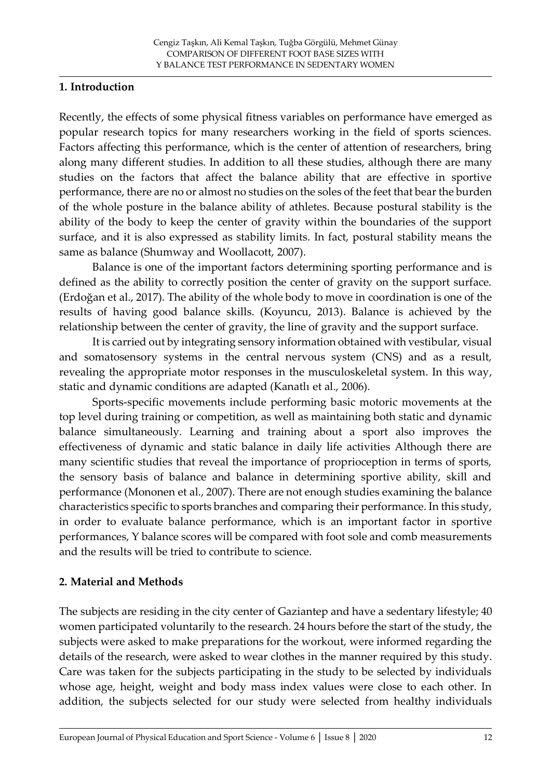### **1. Introduction**

Recently, the effects of some physical fitness variables on performance have emerged as popular research topics for many researchers working in the field of sports sciences. Factors affecting this performance, which is the center of attention of researchers, bring along many different studies. In addition to all these studies, although there are many studies on the factors that affect the balance ability that are effective in sportive performance, there are no or almost no studies on the soles of the feet that bear the burden of the whole posture in the balance ability of athletes. Because postural stability is the ability of the body to keep the center of gravity within the boundaries of the support surface, and it is also expressed as stability limits. In fact, postural stability means the same as balance (Shumway and Woollacott, 2007).

Balance is one of the important factors determining sporting performance and is defined as the ability to correctly position the center of gravity on the support surface. (Erdoğan et al., 2017). The ability of the whole body to move in coordination is one of the results of having good balance skills. (Koyuncu, 2013). Balance is achieved by the relationship between the center of gravity, the line of gravity and the support surface.

It is carried out by integrating sensory information obtained with vestibular, visual and somatosensory systems in the central nervous system (CNS) and as a result, revealing the appropriate motor responses in the musculoskeletal system. In this way, static and dynamic conditions are adapted (Kanatlı et al., 2006).

Sports-specific movements include performing basic motoric movements at the top level during training or competition, as well as maintaining both static and dynamic balance simultaneously. Learning and training about a sport also improves the effectiveness of dynamic and static balance in daily life activities Although there are many scientific studies that reveal the importance of proprioception in terms of sports, the sensory basis of balance and balance in determining sportive ability, skill and performance (Mononen et al., 2007). There are not enough studies examining the balance characteristics specific to sports branches and comparing their performance. In this study, in order to evaluate balance performance, which is an important factor in sportive performances, Y balance scores will be compared with foot sole and comb measurements and the results will be tried to contribute to science.

# **2. Material and Methods**

The subjects are residing in the city center of Gaziantep and have a sedentary lifestyle; 40 women participated voluntarily to the research. 24 hours before the start of the study, the subjects were asked to make preparations for the workout, were informed regarding the details of the research, were asked to wear clothes in the manner required by this study. Care was taken for the subjects participating in the study to be selected by individuals whose age, height, weight and body mass index values were close to each other. In addition, the subjects selected for our study were selected from healthy individuals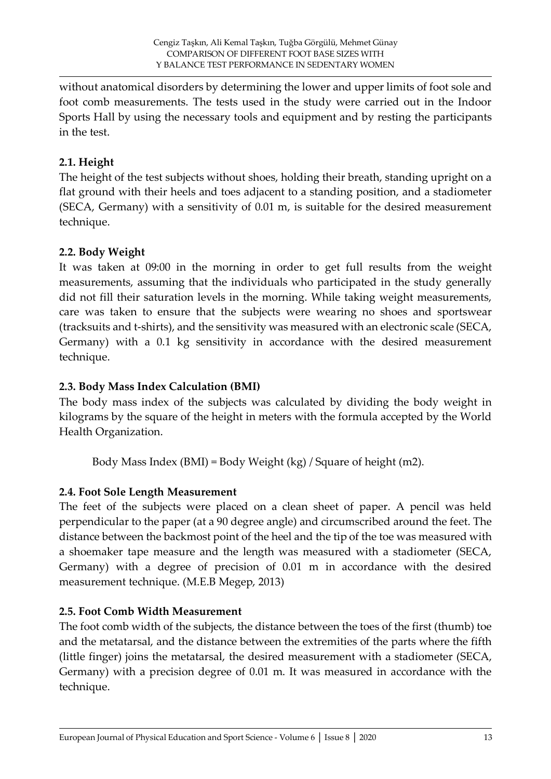without anatomical disorders by determining the lower and upper limits of foot sole and foot comb measurements. The tests used in the study were carried out in the Indoor Sports Hall by using the necessary tools and equipment and by resting the participants in the test.

# **2.1. Height**

The height of the test subjects without shoes, holding their breath, standing upright on a flat ground with their heels and toes adjacent to a standing position, and a stadiometer (SECA, Germany) with a sensitivity of 0.01 m, is suitable for the desired measurement technique.

# **2.2. Body Weight**

It was taken at 09:00 in the morning in order to get full results from the weight measurements, assuming that the individuals who participated in the study generally did not fill their saturation levels in the morning. While taking weight measurements, care was taken to ensure that the subjects were wearing no shoes and sportswear (tracksuits and t-shirts), and the sensitivity was measured with an electronic scale (SECA, Germany) with a 0.1 kg sensitivity in accordance with the desired measurement technique.

# **2.3. Body Mass Index Calculation (BMI)**

The body mass index of the subjects was calculated by dividing the body weight in kilograms by the square of the height in meters with the formula accepted by the World Health Organization.

Body Mass Index (BMI) = Body Weight (kg) / Square of height (m2).

# **2.4. Foot Sole Length Measurement**

The feet of the subjects were placed on a clean sheet of paper. A pencil was held perpendicular to the paper (at a 90 degree angle) and circumscribed around the feet. The distance between the backmost point of the heel and the tip of the toe was measured with a shoemaker tape measure and the length was measured with a stadiometer (SECA, Germany) with a degree of precision of 0.01 m in accordance with the desired measurement technique. (M.E.B Megep, 2013)

# **2.5. Foot Comb Width Measurement**

The foot comb width of the subjects, the distance between the toes of the first (thumb) toe and the metatarsal, and the distance between the extremities of the parts where the fifth (little finger) joins the metatarsal, the desired measurement with a stadiometer (SECA, Germany) with a precision degree of 0.01 m. It was measured in accordance with the technique.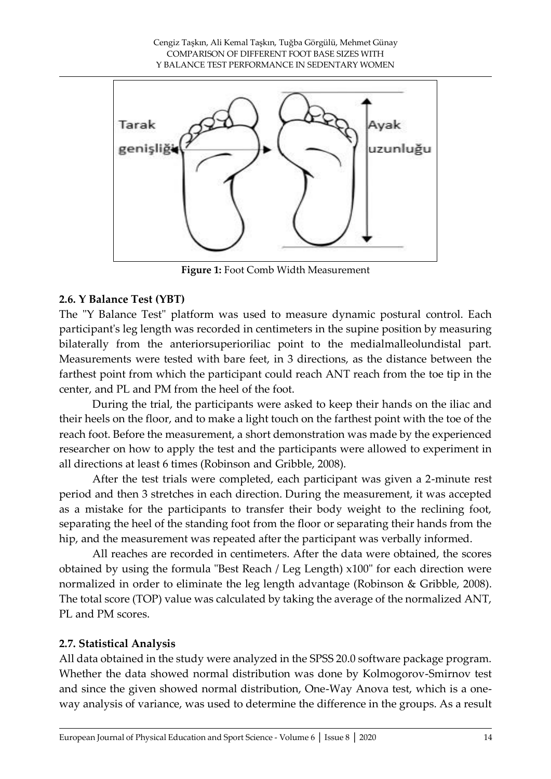

**Figure 1:** Foot Comb Width Measurement

### **2.6. Y Balance Test (YBT)**

The "Y Balance Test" platform was used to measure dynamic postural control. Each participant's leg length was recorded in centimeters in the supine position by measuring bilaterally from the anteriorsuperioriliac point to the medialmalleolundistal part. Measurements were tested with bare feet, in 3 directions, as the distance between the farthest point from which the participant could reach ANT reach from the toe tip in the center, and PL and PM from the heel of the foot.

During the trial, the participants were asked to keep their hands on the iliac and their heels on the floor, and to make a light touch on the farthest point with the toe of the reach foot. Before the measurement, a short demonstration was made by the experienced researcher on how to apply the test and the participants were allowed to experiment in all directions at least 6 times (Robinson and Gribble, 2008).

After the test trials were completed, each participant was given a 2-minute rest period and then 3 stretches in each direction. During the measurement, it was accepted as a mistake for the participants to transfer their body weight to the reclining foot, separating the heel of the standing foot from the floor or separating their hands from the hip, and the measurement was repeated after the participant was verbally informed.

All reaches are recorded in centimeters. After the data were obtained, the scores obtained by using the formula "Best Reach / Leg Length) x100" for each direction were normalized in order to eliminate the leg length advantage (Robinson & Gribble, 2008). The total score (TOP) value was calculated by taking the average of the normalized ANT, PL and PM scores.

#### **2.7. Statistical Analysis**

All data obtained in the study were analyzed in the SPSS 20.0 software package program. Whether the data showed normal distribution was done by Kolmogorov-Smirnov test and since the given showed normal distribution, One-Way Anova test, which is a oneway analysis of variance, was used to determine the difference in the groups. As a result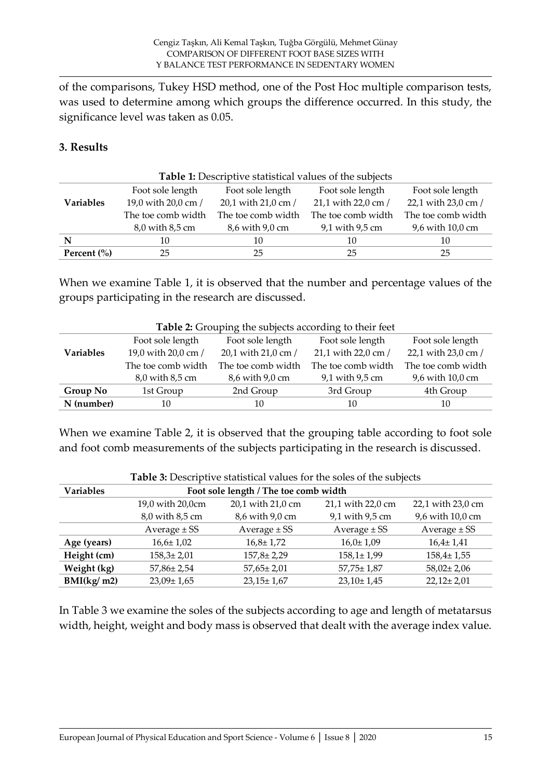of the comparisons, Tukey HSD method, one of the Post Hoc multiple comparison tests, was used to determine among which groups the difference occurred. In this study, the significance level was taken as 0.05.

### **3. Results**

| Table 1: Descriptive statistical values of the subjects |                     |                     |                     |                     |  |
|---------------------------------------------------------|---------------------|---------------------|---------------------|---------------------|--|
|                                                         | Foot sole length    | Foot sole length    | Foot sole length    | Foot sole length    |  |
| <b>Variables</b>                                        | 19,0 with 20,0 cm / | 20,1 with 21,0 cm / | 21,1 with 22,0 cm / | 22,1 with 23,0 cm / |  |
|                                                         | The toe comb width  | The toe comb width  | The toe comb width  | The toe comb width  |  |
|                                                         | 8,0 with 8,5 cm     | 8,6 with 9,0 cm     | 9,1 with 9,5 cm     | 9,6 with 10,0 cm    |  |
| N                                                       | 10                  | 10                  | 10                  | 10                  |  |
| Percent $\left(\frac{0}{0}\right)$                      | 25                  | 25                  | 25                  | 25                  |  |

When we examine Table 1, it is observed that the number and percentage values of the groups participating in the research are discussed.

| <b>Table 2.</b> Slouping the subjects according to their feet |                     |                     |                     |                     |
|---------------------------------------------------------------|---------------------|---------------------|---------------------|---------------------|
|                                                               | Foot sole length    | Foot sole length    | Foot sole length    | Foot sole length    |
| <b>Variables</b>                                              | 19,0 with 20,0 cm / | 20,1 with 21,0 cm / | 21,1 with 22,0 cm / | 22,1 with 23,0 cm / |
|                                                               | The toe comb width  | The toe comb width  | The toe comb width  | The toe comb width  |
|                                                               | 8,0 with 8,5 cm     | 8,6 with 9,0 cm     | 9,1 with 9,5 cm     | 9,6 with 10,0 cm    |
| Group No                                                      | 1st Group           | 2nd Group           | 3rd Group           | 4th Group           |
| N (number)                                                    | 10                  | 10                  | 10                  | 10                  |

When we examine Table 2, it is observed that the grouping table according to foot sole and foot comb measurements of the subjects participating in the research is discussed.

|                  | <b>Table 5:</b> Descriptive statistical values for the soles of the subjects |                   |                   |                   |  |  |
|------------------|------------------------------------------------------------------------------|-------------------|-------------------|-------------------|--|--|
| <b>Variables</b> | Foot sole length / The toe comb width                                        |                   |                   |                   |  |  |
|                  | 19,0 with 20,0cm                                                             | 20,1 with 21,0 cm | 21,1 with 22,0 cm | 22,1 with 23,0 cm |  |  |
|                  | 8,0 with 8,5 cm                                                              | 8,6 with 9,0 cm   | 9,1 with 9,5 cm   | 9,6 with 10,0 cm  |  |  |
|                  | Average $\pm$ SS                                                             | Average $\pm$ SS  | Average $\pm$ SS  | Average $\pm$ SS  |  |  |
| Age (years)      | $16,6 \pm 1,02$                                                              | $16,8 \pm 1,72$   | $16,0 \pm 1,09$   | $16.4 \pm 1.41$   |  |  |
| Height (cm)      | $158,3 \pm 2,01$                                                             | $157,8 \pm 2,29$  | $158,1 \pm 1,99$  | $158,4 \pm 1,55$  |  |  |
| Weight (kg)      | $57,86 \pm 2,54$                                                             | $57,65 \pm 2,01$  | $57,75 \pm 1,87$  | $58,02 \pm 2,06$  |  |  |
| BMI(kg/m2)       | $23,09 \pm 1,65$                                                             | $23,15 \pm 1,67$  | $23,10 \pm 1,45$  | $22,12 \pm 2,01$  |  |  |

**Table 3:** Descriptive statistical values for the soles of the subjects

In Table 3 we examine the soles of the subjects according to age and length of metatarsus width, height, weight and body mass is observed that dealt with the average index value.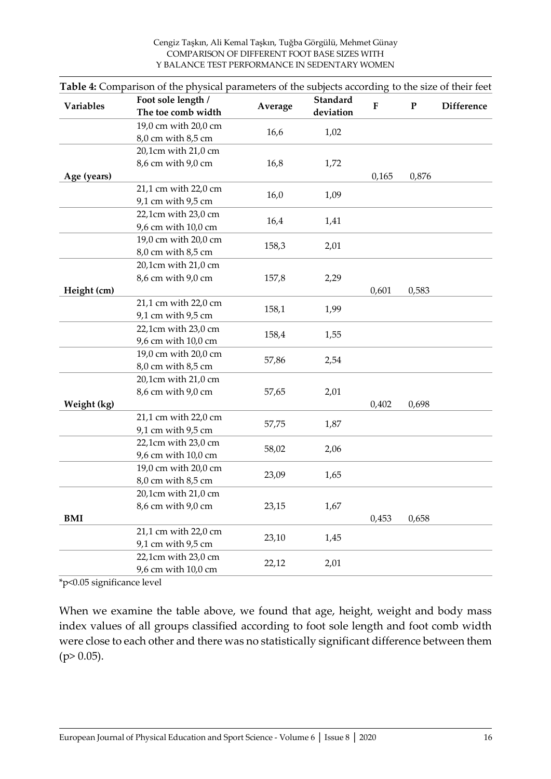|                  | <b>Table 4:</b> Comparison of the physical parameters of the subjects according to the size of their feet<br>Foot sole length / | Average | Standard<br>deviation |           |           |                   |
|------------------|---------------------------------------------------------------------------------------------------------------------------------|---------|-----------------------|-----------|-----------|-------------------|
| <b>Variables</b> | The toe comb width                                                                                                              |         |                       | ${\bf F}$ | ${\bf P}$ | <b>Difference</b> |
|                  | 19,0 cm with 20,0 cm                                                                                                            |         |                       |           |           |                   |
|                  | 8,0 cm with 8,5 cm                                                                                                              | 16,6    | 1,02                  |           |           |                   |
|                  | 20,1cm with 21,0 cm                                                                                                             |         |                       |           |           |                   |
|                  | 8,6 cm with 9,0 cm                                                                                                              | 16,8    | 1,72                  |           |           |                   |
| Age (years)      |                                                                                                                                 |         |                       | 0,165     | 0,876     |                   |
|                  | 21,1 cm with 22,0 cm                                                                                                            | 16,0    | 1,09                  |           |           |                   |
|                  | 9,1 cm with 9,5 cm                                                                                                              |         |                       |           |           |                   |
|                  | 22,1cm with 23,0 cm                                                                                                             | 16,4    | 1,41                  |           |           |                   |
|                  | 9,6 cm with 10,0 cm                                                                                                             |         |                       |           |           |                   |
|                  | 19,0 cm with 20,0 cm                                                                                                            | 158,3   | 2,01                  |           |           |                   |
|                  | 8,0 cm with 8,5 cm                                                                                                              |         |                       |           |           |                   |
|                  | 20,1cm with 21,0 cm                                                                                                             |         |                       |           |           |                   |
|                  | 8,6 cm with 9,0 cm                                                                                                              | 157,8   | 2,29                  |           |           |                   |
| Height (cm)      |                                                                                                                                 |         |                       | 0,601     | 0,583     |                   |
|                  | 21,1 cm with 22,0 cm                                                                                                            | 158,1   | 1,99                  |           |           |                   |
|                  | 9,1 cm with 9,5 cm                                                                                                              |         |                       |           |           |                   |
|                  | 22,1cm with 23,0 cm                                                                                                             | 158,4   | 1,55                  |           |           |                   |
|                  | 9,6 cm with 10,0 cm                                                                                                             |         |                       |           |           |                   |
|                  | 19,0 cm with 20,0 cm                                                                                                            | 57,86   | 2,54                  |           |           |                   |
|                  | 8,0 cm with 8,5 cm                                                                                                              |         |                       |           |           |                   |
|                  | 20,1cm with 21,0 cm                                                                                                             | 57,65   | 2,01                  |           |           |                   |
| Weight (kg)      | 8,6 cm with 9,0 cm                                                                                                              |         |                       | 0,402     | 0,698     |                   |
|                  | 21,1 cm with 22,0 cm                                                                                                            |         |                       |           |           |                   |
|                  | 9,1 cm with 9,5 cm                                                                                                              | 57,75   | 1,87                  |           |           |                   |
|                  | 22,1cm with 23,0 cm                                                                                                             |         |                       |           |           |                   |
|                  | 9,6 cm with 10,0 cm                                                                                                             | 58,02   | 2,06                  |           |           |                   |
|                  | 19,0 cm with 20,0 cm                                                                                                            |         |                       |           |           |                   |
|                  | 8,0 cm with 8,5 cm                                                                                                              | 23,09   | 1,65                  |           |           |                   |
|                  | 20,1cm with 21,0 cm                                                                                                             |         |                       |           |           |                   |
|                  | 8,6 cm with 9,0 cm                                                                                                              | 23,15   | 1,67                  |           |           |                   |
| <b>BMI</b>       |                                                                                                                                 |         |                       | 0,453     | 0,658     |                   |
|                  | 21,1 cm with 22,0 cm                                                                                                            |         |                       |           |           |                   |
|                  | 9,1 cm with 9,5 cm                                                                                                              | 23,10   | 1,45                  |           |           |                   |
|                  | 22,1cm with 23,0 cm                                                                                                             |         |                       |           |           |                   |
|                  | 9,6 cm with 10,0 cm                                                                                                             | 22,12   | 2,01                  |           |           |                   |

**Table 4:** Comparison of the physical parameters of the subjects according to the size of their feet

\*p<0.05 significance level

When we examine the table above, we found that age, height, weight and body mass index values of all groups classified according to foot sole length and foot comb width were close to each other and there was no statistically significant difference between them  $(p>0.05)$ .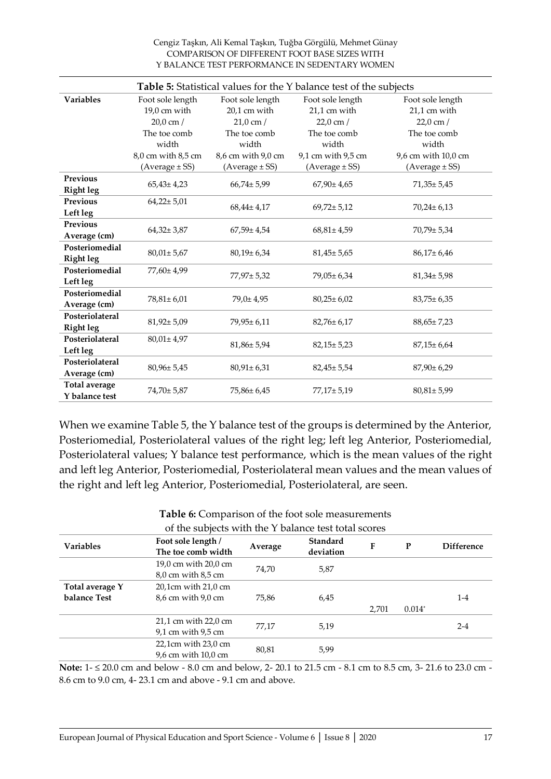Cengiz Taşkın, Ali Kemal Taşkın, Tuğba Görgülü, Mehmet Günay COMPARISON OF DIFFERENT FOOT BASE SIZES WITH Y BALANCE TEST PERFORMANCE IN SEDENTARY WOMEN

|                      | <b>Table 5:</b> Statistical values for the Y balance test of the subjects |                     |                    |                     |  |
|----------------------|---------------------------------------------------------------------------|---------------------|--------------------|---------------------|--|
| <b>Variables</b>     | Foot sole length                                                          | Foot sole length    | Foot sole length   | Foot sole length    |  |
|                      | $19,0$ cm with                                                            | 20,1 cm with        | 21,1 cm with       | 21,1 cm with        |  |
|                      | $20,0 \text{ cm}$ /                                                       | $21,0 \text{ cm}$ / | $22,0$ cm $/$      | $22,0$ cm $/$       |  |
|                      | The toe comb                                                              | The toe comb        | The toe comb       | The toe comb        |  |
|                      | width                                                                     | width               | width              | width               |  |
|                      | 8,0 cm with 8,5 cm                                                        | 8,6 cm with 9,0 cm  | 9,1 cm with 9,5 cm | 9,6 cm with 10,0 cm |  |
|                      | $(Average \pm SS)$                                                        | $(Average \pm SS)$  | $(Average \pm SS)$ | $(Average \pm SS)$  |  |
| Previous             | $65,43 \pm 4,23$                                                          | $66,74 \pm 5,99$    | $67,90 \pm 4,65$   | $71,35 \pm 5,45$    |  |
| <b>Right leg</b>     |                                                                           |                     |                    |                     |  |
| <b>Previous</b>      | $64,22 \pm 5,01$                                                          | $68,44 \pm 4,17$    | $69,72 \pm 5,12$   | $70,24 \pm 6,13$    |  |
| Left leg             |                                                                           |                     |                    |                     |  |
| Previous             | $64,32 \pm 3,87$                                                          | $67,59 \pm 4,54$    | $68,81 \pm 4,59$   | $70,79 \pm 5,34$    |  |
| Average (cm)         |                                                                           |                     |                    |                     |  |
| Posteriomedial       | $80,01 \pm 5,67$                                                          | $80,19 \pm 6,34$    | $81,45 \pm 5,65$   | $86,17 \pm 6,46$    |  |
| <b>Right leg</b>     |                                                                           |                     |                    |                     |  |
| Posteriomedial       | 77,60± 4,99                                                               | 77,97± 5,32         | $79,05 \pm 6,34$   | $81,34 \pm 5,98$    |  |
| Left leg             |                                                                           |                     |                    |                     |  |
| Posteriomedial       | 78,81±6,01                                                                | 79,0±4,95           | $80,25 \pm 6,02$   | $83,75 \pm 6,35$    |  |
| Average (cm)         |                                                                           |                     |                    |                     |  |
| Posteriolateral      | $81,92 \pm 5,09$                                                          | 79,95±6,11          | $82,76 \pm 6,17$   | $88,65 \pm 7,23$    |  |
| <b>Right leg</b>     |                                                                           |                     |                    |                     |  |
| Posteriolateral      | $80,01 \pm 4,97$                                                          | $81,86 \pm 5,94$    | $82,15 \pm 5,23$   | $87,15 \pm 6,64$    |  |
| Left leg             |                                                                           |                     |                    |                     |  |
| Posteriolateral      | 80,96±5,45                                                                | $80,91 \pm 6,31$    | $82,45 \pm 5,54$   | $87,90 \pm 6,29$    |  |
| Average (cm)         |                                                                           |                     |                    |                     |  |
| <b>Total average</b> | 74,70± 5,87                                                               | 75,86±6,45          | 77,17± 5,19        | $80,81 \pm 5,99$    |  |
| Y balance test       |                                                                           |                     |                    |                     |  |

When we examine Table 5, the Y balance test of the groups is determined by the Anterior, Posteriomedial, Posteriolateral values of the right leg; left leg Anterior, Posteriomedial, Posteriolateral values; Y balance test performance, which is the mean values of the right and left leg Anterior, Posteriomedial, Posteriolateral mean values and the mean values of the right and left leg Anterior, Posteriomedial, Posteriolateral, are seen.

| of the subjects with the Y balance test total scores |                                                                    |         |                       |       |          |                   |
|------------------------------------------------------|--------------------------------------------------------------------|---------|-----------------------|-------|----------|-------------------|
| <b>Variables</b>                                     | Foot sole length /<br>The toe comb width                           | Average | Standard<br>deviation | F     | P        | <b>Difference</b> |
|                                                      | 19,0 cm with 20,0 cm<br>$8,0$ cm with $8,5$ cm                     | 74.70   | 5,87                  |       |          |                   |
| Total average Y                                      | $20.1$ cm with $21.0$ cm                                           |         |                       |       |          |                   |
| balance Test                                         | 8,6 cm with 9,0 cm                                                 | 75.86   | 6,45                  | 2,701 | $0.014*$ | $1-4$             |
|                                                      | $21.1$ cm with $22.0$ cm<br>$9.1 \text{ cm}$ with $9.5 \text{ cm}$ | 77,17   | 5,19                  |       |          | $2 - 4$           |
|                                                      | $22.1$ cm with $23.0$ cm<br>9.6 cm with 10.0 cm                    | 80,81   | 5,99                  |       |          |                   |

**Table 6:** Comparison of the foot sole measurements

Note: 1- ≤ 20.0 cm and below - 8.0 cm and below, 2- 20.1 to 21.5 cm - 8.1 cm to 8.5 cm, 3- 21.6 to 23.0 cm -8.6 cm to 9.0 cm, 4- 23.1 cm and above - 9.1 cm and above.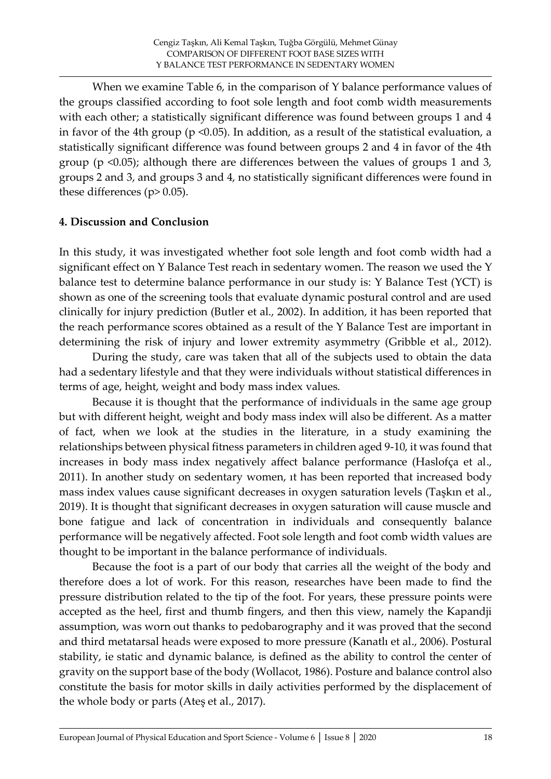When we examine Table 6, in the comparison of Y balance performance values of the groups classified according to foot sole length and foot comb width measurements with each other; a statistically significant difference was found between groups 1 and 4 in favor of the 4th group ( $p \le 0.05$ ). In addition, as a result of the statistical evaluation, a statistically significant difference was found between groups 2 and 4 in favor of the 4th group (p <0.05); although there are differences between the values of groups 1 and 3, groups 2 and 3, and groups 3 and 4, no statistically significant differences were found in these differences ( $p$ > 0.05).

### **4. Discussion and Conclusion**

In this study, it was investigated whether foot sole length and foot comb width had a significant effect on Y Balance Test reach in sedentary women. The reason we used the Y balance test to determine balance performance in our study is: Y Balance Test (YCT) is shown as one of the screening tools that evaluate dynamic postural control and are used clinically for injury prediction (Butler et al., 2002). In addition, it has been reported that the reach performance scores obtained as a result of the Y Balance Test are important in determining the risk of injury and lower extremity asymmetry (Gribble et al., 2012).

During the study, care was taken that all of the subjects used to obtain the data had a sedentary lifestyle and that they were individuals without statistical differences in terms of age, height, weight and body mass index values.

Because it is thought that the performance of individuals in the same age group but with different height, weight and body mass index will also be different. As a matter of fact, when we look at the studies in the literature, in a study examining the relationships between physical fitness parameters in children aged 9-10, it was found that increases in body mass index negatively affect balance performance (Haslofça et al., 2011). In another study on sedentary women, ıt has been reported that increased body mass index values cause significant decreases in oxygen saturation levels (Taşkın et al., 2019). It is thought that significant decreases in oxygen saturation will cause muscle and bone fatigue and lack of concentration in individuals and consequently balance performance will be negatively affected. Foot sole length and foot comb width values are thought to be important in the balance performance of individuals.

Because the foot is a part of our body that carries all the weight of the body and therefore does a lot of work. For this reason, researches have been made to find the pressure distribution related to the tip of the foot. For years, these pressure points were accepted as the heel, first and thumb fingers, and then this view, namely the Kapandji assumption, was worn out thanks to pedobarography and it was proved that the second and third metatarsal heads were exposed to more pressure (Kanatlı et al., 2006). Postural stability, ie static and dynamic balance, is defined as the ability to control the center of gravity on the support base of the body (Wollacot, 1986). Posture and balance control also constitute the basis for motor skills in daily activities performed by the displacement of the whole body or parts (Ateş et al., 2017).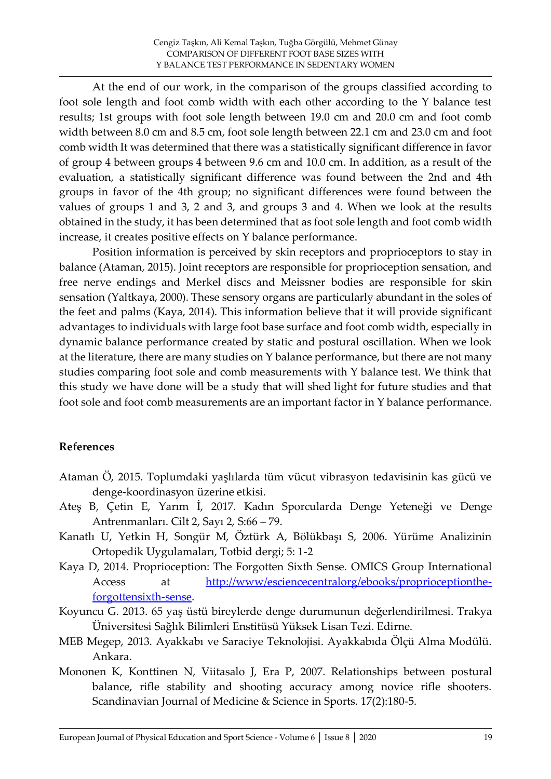At the end of our work, in the comparison of the groups classified according to foot sole length and foot comb width with each other according to the Y balance test results; 1st groups with foot sole length between 19.0 cm and 20.0 cm and foot comb width between 8.0 cm and 8.5 cm, foot sole length between 22.1 cm and 23.0 cm and foot comb width It was determined that there was a statistically significant difference in favor of group 4 between groups 4 between 9.6 cm and 10.0 cm. In addition, as a result of the evaluation, a statistically significant difference was found between the 2nd and 4th groups in favor of the 4th group; no significant differences were found between the values of groups 1 and 3, 2 and 3, and groups 3 and 4. When we look at the results obtained in the study, it has been determined that as foot sole length and foot comb width increase, it creates positive effects on Y balance performance.

Position information is perceived by skin receptors and proprioceptors to stay in balance (Ataman, 2015). Joint receptors are responsible for proprioception sensation, and free nerve endings and Merkel discs and Meissner bodies are responsible for skin sensation (Yaltkaya, 2000). These sensory organs are particularly abundant in the soles of the feet and palms (Kaya, 2014). This information believe that it will provide significant advantages to individuals with large foot base surface and foot comb width, especially in dynamic balance performance created by static and postural oscillation. When we look at the literature, there are many studies on Y balance performance, but there are not many studies comparing foot sole and comb measurements with Y balance test. We think that this study we have done will be a study that will shed light for future studies and that foot sole and foot comb measurements are an important factor in Y balance performance.

# **References**

- Ataman Ö, 2015. Toplumdaki yaşlılarda tüm vücut vibrasyon tedavisinin kas gücü ve denge-koordinasyon üzerine etkisi.
- Ateş B, Çetin E, Yarım İ, 2017. Kadın Sporcularda Denge Yeteneği ve Denge Antrenmanları. Cilt 2, Sayı 2, S:66 – 79.
- Kanatlı U, Yetkin H, Songür M, Öztürk A, Bölükbaşı S, 2006. Yürüme Analizinin Ortopedik Uygulamaları, Totbid dergi; 5: 1-2
- Kaya D, 2014. Proprioception: The Forgotten Sixth Sense. OMICS Group International Access at [http://www/esciencecentralorg/ebooks/proprioceptionthe](http://www/esciencecentralorg/ebooks/proprioceptionthe-forgottensixth-sense)[forgottensixth-sense.](http://www/esciencecentralorg/ebooks/proprioceptionthe-forgottensixth-sense)
- Koyuncu G. 2013. 65 yaş üstü bireylerde denge durumunun değerlendirilmesi. Trakya Üniversitesi Sağlık Bilimleri Enstitüsü Yüksek Lisan Tezi. Edirne.
- MEB Megep, 2013. Ayakkabı ve Saraciye Teknolojisi. Ayakkabıda Ölçü Alma Modülü. Ankara.
- Mononen K, Konttinen N, Viitasalo J, Era P, 2007. Relationships between postural balance, rifle stability and shooting accuracy among novice rifle shooters. Scandinavian Journal of Medicine & Science in Sports. 17(2):180-5.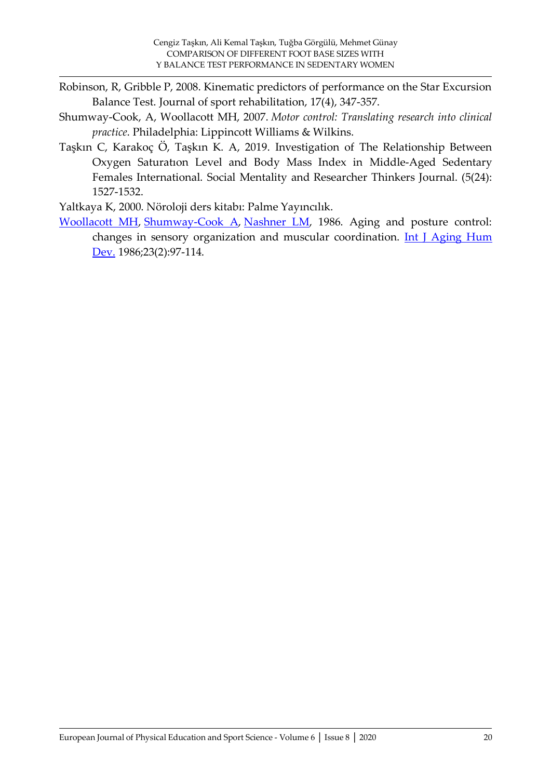- Robinson, R, Gribble P, 2008. Kinematic predictors of performance on the Star Excursion Balance Test. Journal of sport rehabilitation, 17(4), 347-357.
- Shumway-Cook, A, Woollacott MH, 2007. *Motor control: Translating research into clinical practice*. Philadelphia: Lippincott Williams & Wilkins.
- Taşkın C, Karakoç Ö, Taşkın K. A, 2019. Investigation of The Relationship Between Oxygen Saturatıon Level and Body Mass Index in Middle-Aged Sedentary Females International. Social Mentality and Researcher Thinkers Journal. (5(24): 1527-1532.

Yaltkaya K, 2000. Nöroloji ders kitabı: Palme Yayıncılık.

[Woollacott MH,](https://www.ncbi.nlm.nih.gov/pubmed/?term=Woollacott%20MH%5BAuthor%5D&cauthor=true&cauthor_uid=3557634) [Shumway-Cook A,](https://www.ncbi.nlm.nih.gov/pubmed/?term=Shumway-Cook%20A%5BAuthor%5D&cauthor=true&cauthor_uid=3557634) [Nashner LM,](https://www.ncbi.nlm.nih.gov/pubmed/?term=Nashner%20LM%5BAuthor%5D&cauthor=true&cauthor_uid=3557634) 1986. Aging and posture control: changes in sensory organization and muscular coordination. Int J Aging Hum [Dev.](https://www.ncbi.nlm.nih.gov/pubmed/3557634) 1986;23(2):97-114.